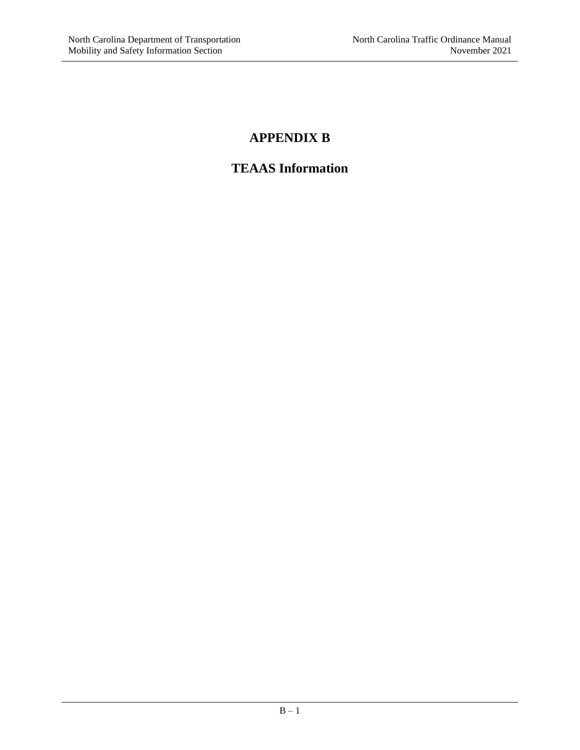# **APPENDIX B**

# **TEAAS Information**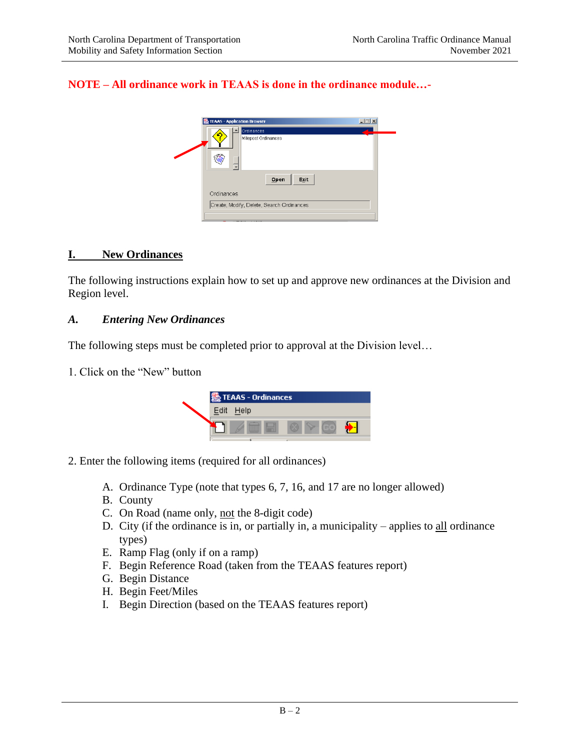## **NOTE – All ordinance work in TEAAS is done in the ordinance module…-**

| $\Box$ $\Box$ $\times$<br><b>級 TEAAS - Application Browser</b> |  |
|----------------------------------------------------------------|--|
| Ordinances<br>Milepost Ordinances<br>$\overline{\phantom{a}}$  |  |
| Open<br>Exit                                                   |  |
| Ordinances                                                     |  |
| Create, Modify, Delete, Search Ordinances                      |  |
|                                                                |  |

#### **I. New Ordinances**

The following instructions explain how to set up and approve new ordinances at the Division and Region level.

#### *A. Entering New Ordinances*

The following steps must be completed prior to approval at the Division level…

1. Click on the "New" button



- 2. Enter the following items (required for all ordinances)
	- A. Ordinance Type (note that types 6, 7, 16, and 17 are no longer allowed)
	- B. County
	- C. On Road (name only, not the 8-digit code)
	- D. City (if the ordinance is in, or partially in, a municipality applies to all ordinance types)
	- E. Ramp Flag (only if on a ramp)
	- F. Begin Reference Road (taken from the TEAAS features report)
	- G. Begin Distance
	- H. Begin Feet/Miles
	- I. Begin Direction (based on the TEAAS features report)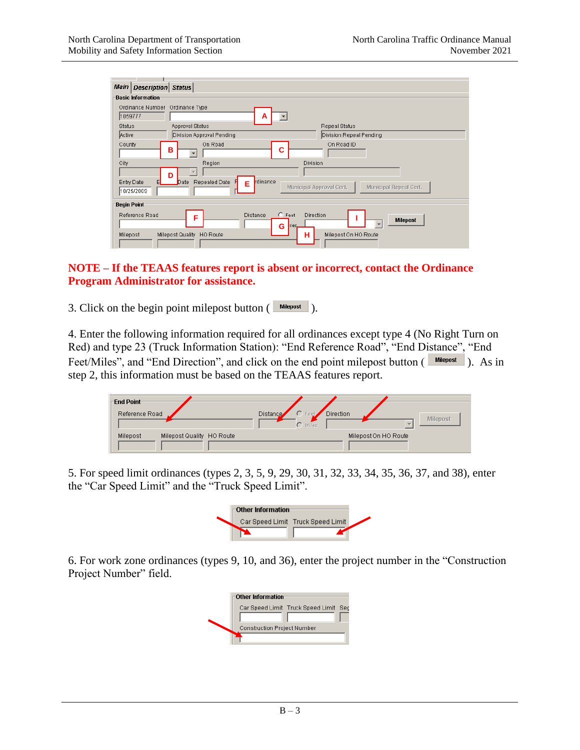| Main<br>Description Status                                   |                                                                                                         |
|--------------------------------------------------------------|---------------------------------------------------------------------------------------------------------|
| <b>Basic Information</b>                                     |                                                                                                         |
| Ordinance Number Ordinance Type<br>1059777                   | A                                                                                                       |
| <b>Status</b><br>Approval Status                             | <b>Repeal Status</b>                                                                                    |
| Active<br>Division Approval Pending                          | Division Repeal Pending                                                                                 |
| On Road<br>County<br>в                                       | On Road ID<br>С                                                                                         |
| City<br>Region                                               | Division                                                                                                |
| D<br>Repealed Date<br>Entry Date<br>Date<br>10/25/2009       | rdinance<br>н<br>Е<br>Municipal Approval Cert.<br>Municipal Repeal Cert.                                |
| <b>Begin Point</b>                                           |                                                                                                         |
| Reference Road<br>F<br>Milepost Quality HO Route<br>Milepost | $C$ Feet<br>Direction<br><b>Distance</b><br><b>Milepost</b><br>liles.<br>G<br>Milepost On HO Route<br>н |
|                                                              |                                                                                                         |

#### **NOTE – If the TEAAS features report is absent or incorrect, contact the Ordinance Program Administrator for assistance.**

3. Click on the begin point milepost button  $(\Box_{\text{Milepost}})$ .

4. Enter the following information required for all ordinances except type 4 (No Right Turn on Red) and type 23 (Truck Information Station): "End Reference Road", "End Distance", "End Feet/Miles", and "End Direction", and click on the end point milepost button ( $\frac{\text{Millepost}}{\text{Millepost}}$ ). As in Feet/Miles", and "End Direction", and click on the end point milepost button ( $\Box$ step 2, this information must be based on the TEAAS features report.

| <b>End Point</b><br>Reference Road    | Direction<br>$C$ Feet<br>Distance<br><b>Milepost</b><br>$\bigcap$ Miles |  |
|---------------------------------------|-------------------------------------------------------------------------|--|
| Milepost Quality HO Route<br>Milepost | Milepost On HO Route                                                    |  |

5. For speed limit ordinances (types 2, 3, 5, 9, 29, 30, 31, 32, 33, 34, 35, 36, 37, and 38), enter the "Car Speed Limit" and the "Truck Speed Limit".

| <b>Other Information</b> |                                   |  |
|--------------------------|-----------------------------------|--|
|                          | Car Speed Limit Truck Speed Limit |  |
|                          |                                   |  |

6. For work zone ordinances (types 9, 10, and 36), enter the project number in the "Construction Project Number" field.

| <b>Other Information</b>                   |
|--------------------------------------------|
| Car Speed Limit Truck Speed Limit<br>- Sec |
|                                            |
| <b>Construction Project Number</b>         |
|                                            |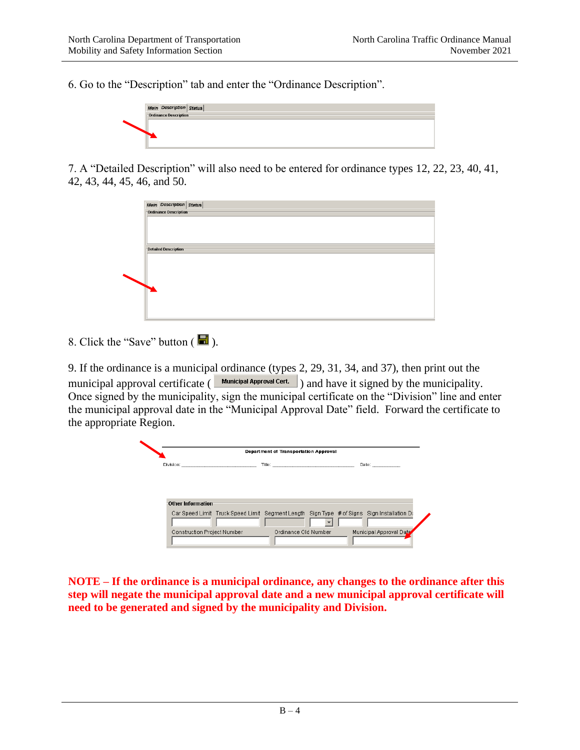6. Go to the "Description" tab and enter the "Ordinance Description".



7. A "Detailed Description" will also need to be entered for ordinance types 12, 22, 23, 40, 41, 42, 43, 44, 45, 46, and 50.

| Main Description Status      |  |  |  |
|------------------------------|--|--|--|
| <b>Ordinance Description</b> |  |  |  |
|                              |  |  |  |
|                              |  |  |  |
|                              |  |  |  |
|                              |  |  |  |
|                              |  |  |  |
| <b>Detailed Description</b>  |  |  |  |
|                              |  |  |  |
|                              |  |  |  |
|                              |  |  |  |
|                              |  |  |  |
|                              |  |  |  |
|                              |  |  |  |
|                              |  |  |  |
|                              |  |  |  |
|                              |  |  |  |
|                              |  |  |  |
|                              |  |  |  |
|                              |  |  |  |

8. Click the "Save" button  $(\Box)$ .

9. If the ordinance is a municipal ordinance (types 2, 29, 31, 34, and 37), then print out the municipal approval certificate ( $\Box$  Municipal Approval Cert. ) and have it signed by the municipality. Once signed by the municipality, sign the municipal certificate on the "Division" line and enter the municipal approval date in the "Municipal Approval Date" field. Forward the certificate to the appropriate Region.



**NOTE – If the ordinance is a municipal ordinance, any changes to the ordinance after this step will negate the municipal approval date and a new municipal approval certificate will need to be generated and signed by the municipality and Division.**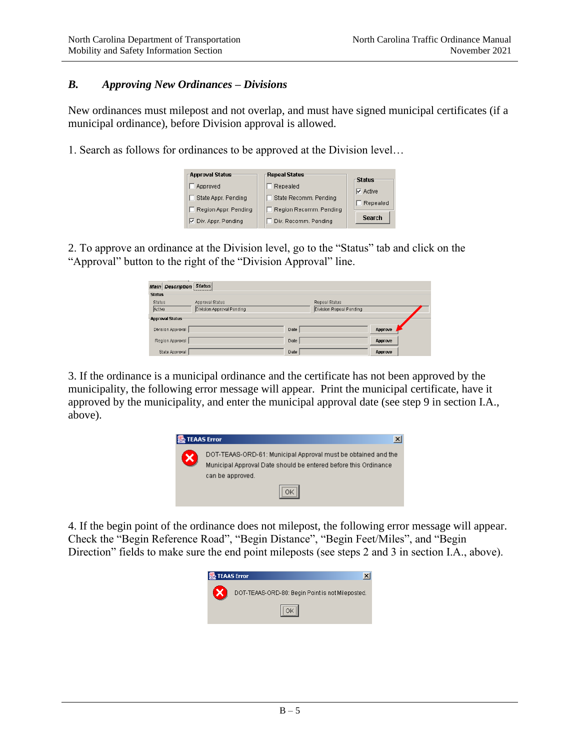## *B. Approving New Ordinances – Divisions*

New ordinances must milepost and not overlap, and must have signed municipal certificates (if a municipal ordinance), before Division approval is allowed.

1. Search as follows for ordinances to be approved at the Division level…

| -Approval Status     | Repeal Status          | <b>Status</b>   |
|----------------------|------------------------|-----------------|
| Approved             | Repealed               | $\nabla$ Active |
| State Appr. Pending  | State Recomm, Pending  |                 |
| Region Appr. Pending | Region Recomm, Pending | Repealed        |
| ☑ Div. Appr. Pending | Div. Recomm. Pending   | <b>Search</b>   |

2. To approve an ordinance at the Division level, go to the "Status" tab and click on the "Approval" button to the right of the "Division Approval" line.

| <b>Main Description Status</b> |                           |      |                         |         |  |
|--------------------------------|---------------------------|------|-------------------------|---------|--|
| <b>Status</b>                  |                           |      |                         |         |  |
| Status                         | Approval Status           |      | Repeal Status           |         |  |
| Active                         | Division Approval Pending |      | Division Repeal Pending |         |  |
| <b>Approval Status</b>         |                           |      |                         |         |  |
| Division Approval              |                           | Date |                         | Approve |  |
| Region Approval                |                           | Date |                         | Approve |  |
| State Approval                 |                           | Date |                         | Approve |  |

3. If the ordinance is a municipal ordinance and the certificate has not been approved by the municipality, the following error message will appear. Print the municipal certificate, have it approved by the municipality, and enter the municipal approval date (see step 9 in section I.A., above).



4. If the begin point of the ordinance does not milepost, the following error message will appear. Check the "Begin Reference Road", "Begin Distance", "Begin Feet/Miles", and "Begin Direction" fields to make sure the end point mileposts (see steps 2 and 3 in section I.A., above).

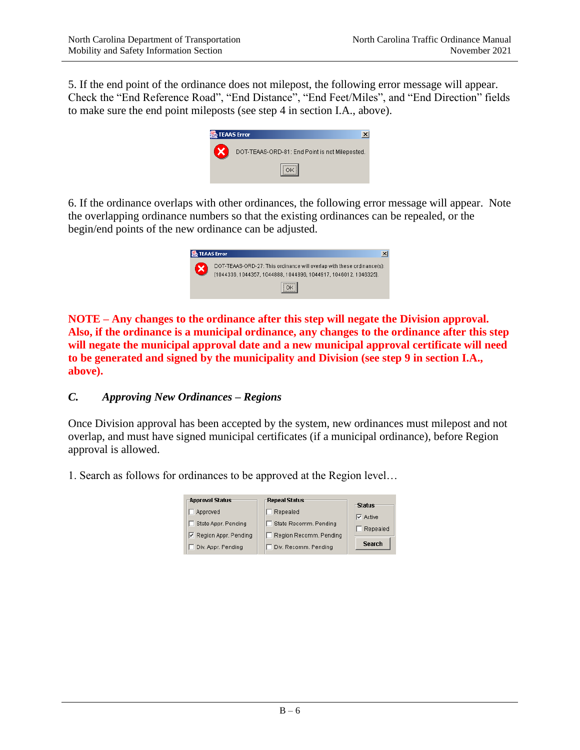5. If the end point of the ordinance does not milepost, the following error message will appear. Check the "End Reference Road", "End Distance", "End Feet/Miles", and "End Direction" fields to make sure the end point mileposts (see step 4 in section I.A., above).

![](_page_5_Picture_3.jpeg)

6. If the ordinance overlaps with other ordinances, the following error message will appear. Note the overlapping ordinance numbers so that the existing ordinances can be repealed, or the begin/end points of the new ordinance can be adjusted.

![](_page_5_Picture_5.jpeg)

**NOTE – Any changes to the ordinance after this step will negate the Division approval. Also, if the ordinance is a municipal ordinance, any changes to the ordinance after this step will negate the municipal approval date and a new municipal approval certificate will need to be generated and signed by the municipality and Division (see step 9 in section I.A., above).**

## *C. Approving New Ordinances – Regions*

Once Division approval has been accepted by the system, new ordinances must milepost and not overlap, and must have signed municipal certificates (if a municipal ordinance), before Region approval is allowed.

1. Search as follows for ordinances to be approved at the Region level…

| -Approval Status              | <b>Repeal Status</b>   | ⊤Status         |
|-------------------------------|------------------------|-----------------|
| Approved                      | Repealed               | $\nabla$ Active |
| State Appr. Pending           | State Recomm, Pending  | Repealed        |
| <b>▽</b> Region Appr. Pending | Region Recomm, Pending |                 |
| Div. Appr. Pending            | Div. Recomm. Pending   | <b>Search</b>   |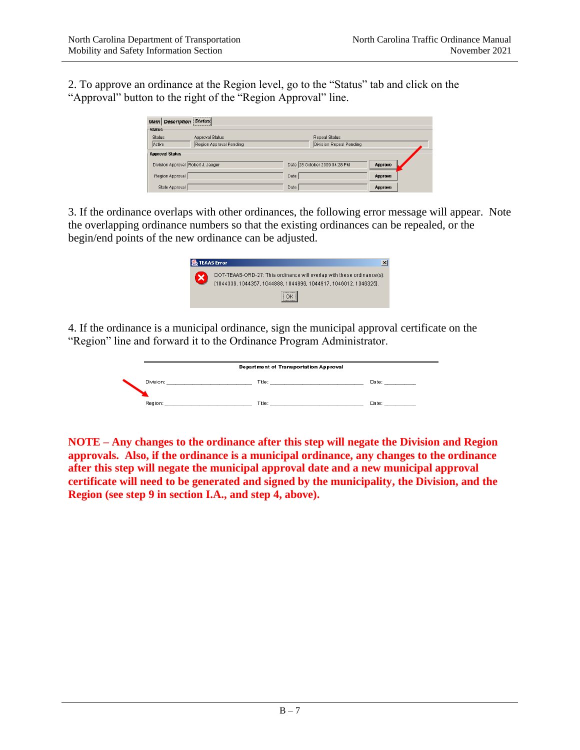2. To approve an ordinance at the Region level, go to the "Status" tab and click on the "Approval" button to the right of the "Region Approval" line.

| Description Status<br><b>Main</b>  |                         |      |                               |         |  |
|------------------------------------|-------------------------|------|-------------------------------|---------|--|
| <b>Status</b>                      |                         |      |                               |         |  |
| Status                             | Approval Status         |      | Repeal Status                 |         |  |
| Active                             | Region Approval Pending |      | Division Repeal Pending       |         |  |
| <b>Approval Status</b>             |                         |      |                               |         |  |
| Division Approval Robert J. Jaeger |                         |      | Date 28 October 2009 04:28 PM | Approve |  |
| Region Approval                    |                         | Date |                               | Approve |  |
| State Approval                     |                         | Date |                               | Approve |  |

3. If the ordinance overlaps with other ordinances, the following error message will appear. Note the overlapping ordinance numbers so that the existing ordinances can be repealed, or the begin/end points of the new ordinance can be adjusted.

| <b>TEAAS Error</b>                                                                                                                         |
|--------------------------------------------------------------------------------------------------------------------------------------------|
| DOT-TEAAS-ORD-27: This ordinance will overlap with these ordinance(s):<br>[1044336, 1044357, 1044888, 1044896, 1044917, 1046012, 1046325]. |
|                                                                                                                                            |

4. If the ordinance is a municipal ordinance, sign the municipal approval certificate on the "Region" line and forward it to the Ordinance Program Administrator.

![](_page_6_Picture_7.jpeg)

**NOTE – Any changes to the ordinance after this step will negate the Division and Region approvals. Also, if the ordinance is a municipal ordinance, any changes to the ordinance after this step will negate the municipal approval date and a new municipal approval certificate will need to be generated and signed by the municipality, the Division, and the Region (see step 9 in section I.A., and step 4, above).**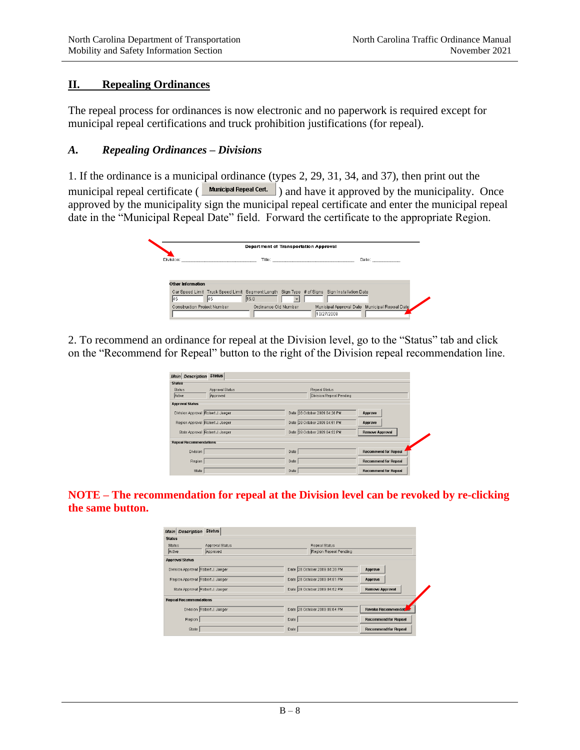## **II. Repealing Ordinances**

The repeal process for ordinances is now electronic and no paperwork is required except for municipal repeal certifications and truck prohibition justifications (for repeal).

#### *A. Repealing Ordinances – Divisions*

1. If the ordinance is a municipal ordinance (types 2, 29, 31, 34, and 37), then print out the municipal repeal certificate ( $\frac{Municipal Repeat}{N}$ ) and have it approved by the municipality. Once approved by the municipality sign the municipal repeal certificate and enter the municipal repeal date in the "Municipal Repeal Date" field. Forward the certificate to the appropriate Region.

![](_page_7_Picture_6.jpeg)

2. To recommend an ordinance for repeal at the Division level, go to the "Status" tab and click on the "Recommend for Repeal" button to the right of the Division repeal recommendation line.

| Main Description Status            |                 |      |                               |                             |
|------------------------------------|-----------------|------|-------------------------------|-----------------------------|
| <b>Status</b>                      |                 |      |                               |                             |
| <b>Status</b>                      | Approval Status |      | Repeal Status                 |                             |
| Active                             | Approved        |      | Division Repeal Pending       |                             |
| <b>Approval Status</b>             |                 |      |                               |                             |
| Division Approval Robert J. Jaeger |                 |      | Date 28 October 2009 04:28 PM | Approve                     |
| Region Approval Robert J. Jaeger   |                 |      | Date 28 October 2009 04:51 PM | Approve                     |
| State Approval Robert J. Jaeger    |                 |      | Date 28 October 2009 04:52 PM | <b>Remove Approval</b>      |
| <b>Repeal Recommendations</b>      |                 |      |                               |                             |
| Division                           |                 | Date |                               | <b>Recommend for Repeal</b> |
| Region                             |                 | Date |                               | <b>Recommend for Repeal</b> |
| State                              |                 | Date |                               | <b>Recommend for Repeal</b> |

**NOTE – The recommendation for repeal at the Division level can be revoked by re-clicking the same button.**

| <b>Main Description Status</b>     |                               |                             |
|------------------------------------|-------------------------------|-----------------------------|
| <b>Status</b>                      |                               |                             |
| Approval Status<br><b>Status</b>   | Repeal Status                 |                             |
| Active<br>Approved                 | Region Repeal Pending         |                             |
| <b>Approval Status</b>             |                               |                             |
| Division Approval Robert J. Jaeger | Date 28 October 2009 04:28 PM | Approve                     |
| Region Approval Robert J. Jaeger   | Date 28 October 2009 04:51 PM | Approve                     |
| State Approval Robert J. Jaeger    | Date 28 October 2009 04:52 PM | Remove Approval             |
| <b>Repeal Recommendations</b>      |                               |                             |
| Division Robert J. Jaeger          | Date 28 October 2009 05:04 PM | Revoke Recommendation       |
| Region                             | Date                          | <b>Recommend for Repeal</b> |
| State                              | Date                          | <b>Recommend for Repeal</b> |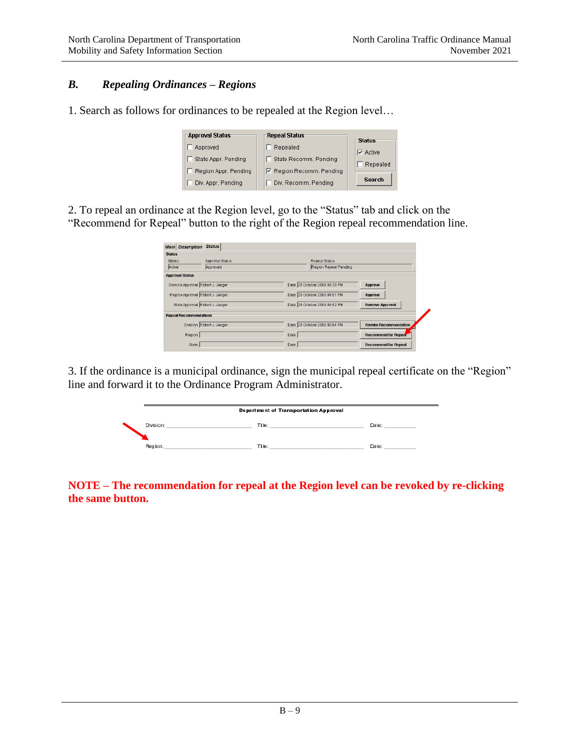## *B. Repealing Ordinances – Regions*

1. Search as follows for ordinances to be repealed at the Region level…

| <b>Approval Status</b> | <b>Repeal Status</b>     | -Status         |
|------------------------|--------------------------|-----------------|
| Approved               | Repealed                 | $\nabla$ Active |
| State Appr. Pending    | State Recomm. Pending    | Repealed        |
| Region Appr. Pending   | ☑ Region Recomm. Pending |                 |
| Div. Appr. Pending     | Div. Recomm. Pending     | <b>Search</b>   |

2. To repeal an ordinance at the Region level, go to the "Status" tab and click on the "Recommend for Repeal" button to the right of the Region repeal recommendation line.

| <b>Main Description</b>            | Status                    |                               |                              |
|------------------------------------|---------------------------|-------------------------------|------------------------------|
| <b>Status</b>                      |                           |                               |                              |
| <b>Status</b>                      | Approval Status           | Repeal Status                 |                              |
| Active                             | Approved                  | Region Repeal Pending         |                              |
| <b>Approval Status</b>             |                           |                               |                              |
| Division Approval Robert J. Jaeger |                           | Date 28 October 2009 04:28 PM | Approve                      |
| Region Approval Robert J. Jaeger   |                           | Date 28 October 2009 04:51 PM | Approve                      |
| State Approval Robert J. Jaeger    |                           | Date 28 October 2009 04:52 PM | <b>Remove Approval</b>       |
| <b>Repeal Recommendations</b>      |                           |                               |                              |
|                                    | Division Robert J. Jaeger | Date 28 October 2009 05:04 PM | <b>Revoke Recommendation</b> |
| Region                             |                           | Date                          | <b>Recommend for Repear</b>  |
| State                              |                           | Date                          | <b>Recommend for Repeal</b>  |

3. If the ordinance is a municipal ordinance, sign the municipal repeal certificate on the "Region" line and forward it to the Ordinance Program Administrator.

|           | <b>Department of Transportation Approval</b> |        |
|-----------|----------------------------------------------|--------|
| Division: | Title:                                       | Da te∶ |
| Region:   | Title:                                       | Date:  |

**NOTE – The recommendation for repeal at the Region level can be revoked by re-clicking the same button.**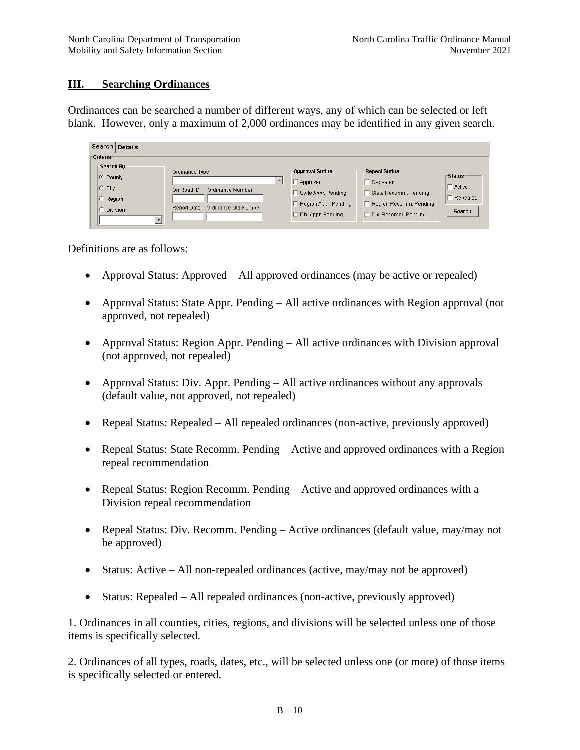## **III. Searching Ordinances**

Ordinances can be searched a number of different ways, any of which can be selected or left blank. However, only a maximum of 2,000 ordinances may be identified in any given search.

| Search Details                                      |                                                                                         |                                                                                                         |                                                                                                             |                                                      |
|-----------------------------------------------------|-----------------------------------------------------------------------------------------|---------------------------------------------------------------------------------------------------------|-------------------------------------------------------------------------------------------------------------|------------------------------------------------------|
| <b>Criteria</b>                                     |                                                                                         |                                                                                                         |                                                                                                             |                                                      |
| Search By<br>C County<br>City<br>Region<br>Division | Ordinance Type<br>On Road ID<br>Ordinance Number<br>Ordinance Old Number<br>Report Date | <b>Approval Status</b><br>Approved<br>State Appr. Pending<br>Region Appr. Pending<br>Div. Appr. Pending | <b>Repeal Status</b><br>Repealed<br>State Recomm. Pending<br>Region Recomm, Pending<br>Div. Recomm. Pending | <b>Status</b><br>Active<br>Repealed<br><b>Search</b> |

Definitions are as follows:

- Approval Status: Approved All approved ordinances (may be active or repealed)
- Approval Status: State Appr. Pending All active ordinances with Region approval (not approved, not repealed)
- Approval Status: Region Appr. Pending All active ordinances with Division approval (not approved, not repealed)
- Approval Status: Div. Appr. Pending All active ordinances without any approvals (default value, not approved, not repealed)
- Repeal Status: Repealed All repealed ordinances (non-active, previously approved)
- Repeal Status: State Recomm. Pending Active and approved ordinances with a Region repeal recommendation
- Repeal Status: Region Recomm. Pending Active and approved ordinances with a Division repeal recommendation
- Repeal Status: Div. Recomm. Pending Active ordinances (default value, may/may not be approved)
- Status: Active All non-repealed ordinances (active, may/may not be approved)
- Status: Repealed All repealed ordinances (non-active, previously approved)

1. Ordinances in all counties, cities, regions, and divisions will be selected unless one of those items is specifically selected.

2. Ordinances of all types, roads, dates, etc., will be selected unless one (or more) of those items is specifically selected or entered.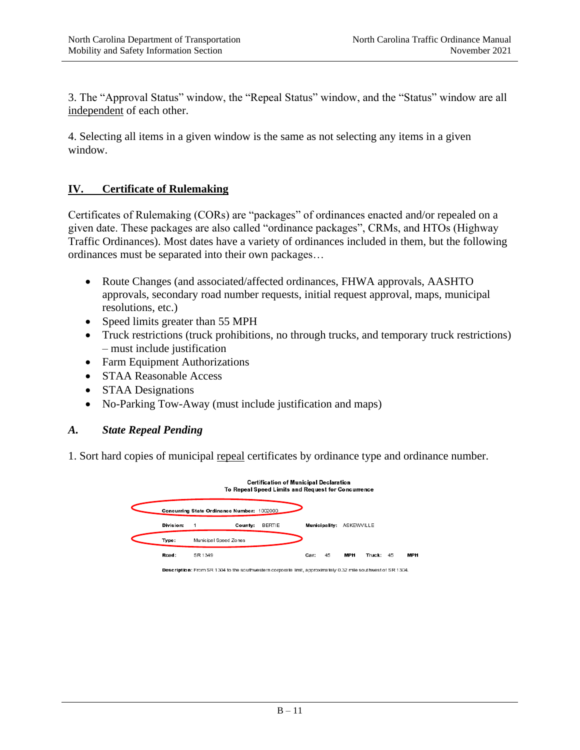3. The "Approval Status" window, the "Repeal Status" window, and the "Status" window are all independent of each other.

4. Selecting all items in a given window is the same as not selecting any items in a given window.

## **IV. Certificate of Rulemaking**

Certificates of Rulemaking (CORs) are "packages" of ordinances enacted and/or repealed on a given date. These packages are also called "ordinance packages", CRMs, and HTOs (Highway Traffic Ordinances). Most dates have a variety of ordinances included in them, but the following ordinances must be separated into their own packages…

- Route Changes (and associated/affected ordinances, FHWA approvals, AASHTO approvals, secondary road number requests, initial request approval, maps, municipal resolutions, etc.)
- Speed limits greater than 55 MPH
- Truck restrictions (truck prohibitions, no through trucks, and temporary truck restrictions) – must include justification
- Farm Equipment Authorizations
- STAA Reasonable Access
- STAA Designations
- No-Parking Tow-Away (must include justification and maps)

#### *A. State Repeal Pending*

1. Sort hard copies of municipal repeal certificates by ordinance type and ordinance number.

|           |                                                                                                              | Certification of Municipal Declaration<br>To Repeal Speed Limits and Request for Concurrence |      |               |            |           |            |
|-----------|--------------------------------------------------------------------------------------------------------------|----------------------------------------------------------------------------------------------|------|---------------|------------|-----------|------------|
|           | Concurring State Ordinance Number: 1002000                                                                   |                                                                                              |      |               |            |           |            |
| Division: | County:                                                                                                      | <b>BERTIE</b>                                                                                |      | Municipality: | ASKEWVILLE |           |            |
| Type:     | Municipal Speed Zones                                                                                        |                                                                                              |      |               |            |           |            |
| Road:     | SR 1349                                                                                                      |                                                                                              | Car: | 45            | <b>MPH</b> | Truck: 45 | <b>MPH</b> |
|           | Description: From SR 1304 to the southwestern corporate limit, approximately 0.32 mile southwest of SR 1304. |                                                                                              |      |               |            |           |            |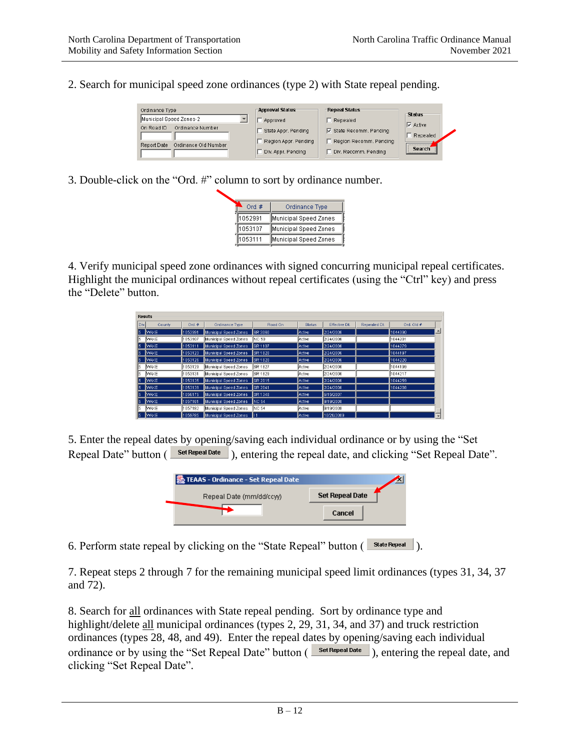2. Search for municipal speed zone ordinances (type 2) with State repeal pending.

| Ordinance Type<br>Municipal Speed Zones-2<br>Ordinance Number<br>On Road ID | <b>Approval Status</b><br>Approved<br>State Appr. Pending | <b>Repeal Status</b><br>Repealed<br>$\nabla$ State Recomm. Pending | <b>Status</b><br>$\nabla$ Active<br>Repealed |
|-----------------------------------------------------------------------------|-----------------------------------------------------------|--------------------------------------------------------------------|----------------------------------------------|
| Ordinance Old Number                                                        | Region Appr. Pending                                      | Region Recomm, Pending                                             | <b>Search</b>                                |
| Report Date                                                                 | Div. Appr. Pending                                        | Div. Recomm. Pending                                               |                                              |

3. Double-click on the "Ord. #" column to sort by ordinance number.

| Ord. $#$ | Ordinance Type        |
|----------|-----------------------|
| 1052991  | Municipal Speed Zones |
| 1053107  | Municipal Speed Zones |
| 1053111  | Municipal Speed Zones |
|          |                       |

4. Verify municipal speed zone ordinances with signed concurring municipal repeal certificates. Highlight the municipal ordinances without repeal certificates (using the "Ctrl" key) and press the "Delete" button.

| <b>Results</b> |              |          |                       |                |               |               |              |            |                  |
|----------------|--------------|----------|-----------------------|----------------|---------------|---------------|--------------|------------|------------------|
| Div.           | County       | Ord, $#$ | Ordinance Type        | Road On        | <b>Status</b> | Effective Dt. | Repealed Dt. | Ord, Old # |                  |
| 15.            | <b>WAKE</b>  | 1052991  | Municipal Speed Zones | SR 3060        | Active:       | 2/24/2006     |              | 1044390    | $\blacktriangle$ |
| ls.            | MAKE         | 1053107  | Municipal Speed Zones | NC 50          | Active        | 2/24/2006     |              | 1044201    |                  |
| ls.            | <b>WAKE</b>  | 1053111  | Municipal Speed Zones | SR 1107        | Active        | 2/24/2006     |              | 1044279    |                  |
| 15.            | <b>WAKE</b>  | 1053123  | Municipal Speed Zones | SR 1820        | <b>Active</b> | 2/24/2006     |              | 1044197    |                  |
| 15.            | <b>WAKE</b>  | 1053126  | Municipal Speed Zones | SR 1820        | Active        | 2/24/2006     |              | 1044220    |                  |
| ls.            | MAKE         | 1053129  | Municipal Speed Zones | <b>SR 1827</b> | Active        | 2/24/2006     |              | 1044199    |                  |
| 15.            | <b>MAKE</b>  | 1053131  | Municipal Speed Zones | SR 1829        | Active        | 2/24/2006     |              | 1044217    |                  |
| 15.            | <b>WAKE</b>  | 1053135  | Municipal Speed Zones | SR 2015        | Active        | 2/24/2006     |              | 1044259    |                  |
| ls.            | <b>WAKE</b>  | 1053139  | Municipal Speed Zones | SR 2041        | Active        | 2/24/2006     |              | 1044208    |                  |
| 15.            | <b>IWAKE</b> | 1056175  | Municipal Speed Zones | SR 1348        | Active        | 6/15/2007     |              |            |                  |
| ls.            | <b>WAKE</b>  | 1057181  | Municipal Speed Zones | <b>NC 54</b>   | Active        | 9/19/2008     |              |            |                  |
| ls.            | MAKE         | 1057182  | Municipal Speed Zones | INC 54         | Active        | 9/19/2008     |              |            |                  |
| 15.            | <b>WAKE</b>  | 1059785  | Municipal Speed Zones | ll 1           | Active        | 10/26/2009    |              |            | $\overline{ }$   |

5. Enter the repeal dates by opening/saving each individual ordinance or by using the "Set Repeal Date" button (
Set Repeal Date<sup>"</sup>), entering the repeal date, and clicking "Set Repeal Date".

| ‰ TEAAS - Ordinance - Set Repeal Date |                        |
|---------------------------------------|------------------------|
| Repeal Date (mm/dd/ccyy)              | <b>Set Repeal Date</b> |
|                                       | Cancel                 |

6. Perform state repeal by clicking on the "State Repeal" button (State Repeal).

7. Repeat steps 2 through 7 for the remaining municipal speed limit ordinances (types 31, 34, 37 and 72).

8. Search for all ordinances with State repeal pending. Sort by ordinance type and highlight/delete all municipal ordinances (types 2, 29, 31, 34, and 37) and truck restriction ordinances (types 28, 48, and 49). Enter the repeal dates by opening/saving each individual ordinance or by using the "Set Repeal Date" button  $\left($  set Repeal Date  $\right)$ , entering the repeal date, and clicking "Set Repeal Date".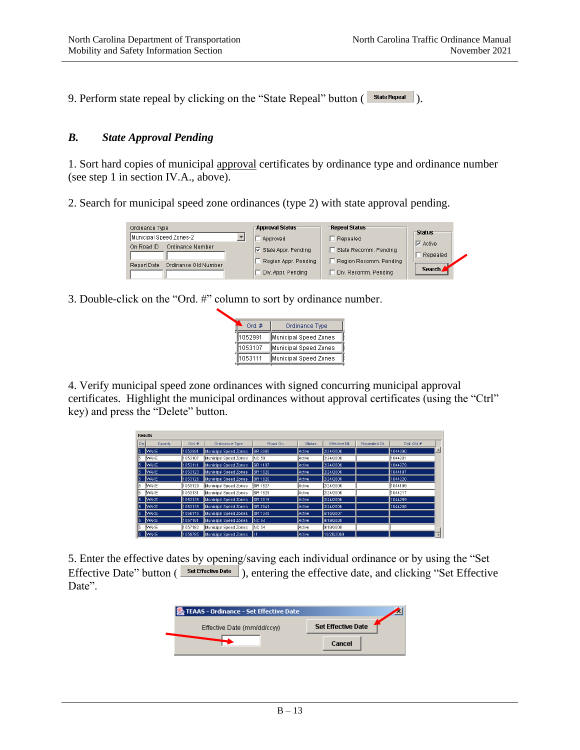9. Perform state repeal by clicking on the "State Repeal" button (State Repeal).

## *B. State Approval Pending*

1. Sort hard copies of municipal approval certificates by ordinance type and ordinance number (see step 1 in section IV.A., above).

2. Search for municipal speed zone ordinances (type 2) with state approval pending.

| Ordinance Type                      | <b>Approval Status</b>                     | <b>Repeal Status</b>                           | <b>Status</b>               |
|-------------------------------------|--------------------------------------------|------------------------------------------------|-----------------------------|
| Municipal Speed Zones-2             | Approved                                   | Repealed                                       |                             |
| Ordinance Number<br>On Road ID      | $\nabla$ State Appr. Pending               | State Recomm. Pending                          | $\nabla$ Active<br>Repealed |
| Ordinance Old Number<br>Report Date | Region Appr. Pending<br>Div. Appr. Pending | Region Recomm, Pending<br>Div. Recomm. Pending | Search                      |

3. Double-click on the "Ord. #" column to sort by ordinance number.

| Ord. $#$ | Ordinance Type        |
|----------|-----------------------|
| 1052991  | Municipal Speed Zones |
| 1053107  | Municipal Speed Zones |
| 1053111  | Municipal Speed Zones |
|          |                       |

4. Verify municipal speed zone ordinances with signed concurring municipal approval certificates. Highlight the municipal ordinances without approval certificates (using the "Ctrl" key) and press the "Delete" button.

|      | <b>Results</b> |          |                       |                |               |               |              |            |                          |
|------|----------------|----------|-----------------------|----------------|---------------|---------------|--------------|------------|--------------------------|
| Div. | County         | Ord, $#$ | Ordinance Type        | Road On        | <b>Status</b> | Effective Dt. | Repealed Dt. | Ord, Old # |                          |
| 15   | <b>WAKE</b>    | 1052991  | Municipal Speed Zones | SR 3060        | Active        | 2/24/2006     |              | 1044390    | 스                        |
| l5   | MAKE           | 1053107  | Municipal Speed Zones | NC 50          | Active        | 2/24/2006     |              | 1044201    |                          |
| 15   | <b>WAKE</b>    | 1053111  | Municipal Speed Zones | SR 1107        | Active        | 2/24/2006     |              | 1044279    |                          |
| 15   | <b>WAKE</b>    | 1053123  | Municipal Speed Zones | SR 1820        | Active        | 2/24/2006     |              | 1044197    |                          |
| 15   | <b>WAKE</b>    | 1053126  | Municipal Speed Zones | SR 1820        | Active        | 2/24/2006     |              | 1044220    |                          |
| 15   | MAKE           | 1053129  | Municipal Speed Zones | <b>SR 1827</b> | Active        | 2/24/2006     |              | 1044199    |                          |
| l5   | <b>MAKE</b>    | 1053131  | Municipal Speed Zones | SR 1829        | Active        | 2/24/2006     |              | 1044217    |                          |
| 15   | <b>WAKE</b>    | 1053135  | Municipal Speed Zones | SR 2015        | Active        | 2/24/2006     |              | 1044259    |                          |
| 15   | <b>WAKE</b>    | 1053139  | Municipal Speed Zones | SR 2041        | Active        | 2/24/2006     |              | 1044208    |                          |
| l5   | <b>WAKE</b>    | 1056175  | Municipal Speed Zones | SR 1348        | Active        | 6/15/2007     |              |            |                          |
| 15   | <b>WAKE</b>    | 1057181  | Municipal Speed Zones | <b>NC 54</b>   | Active        | 9/19/2008     |              |            |                          |
| l5   | MAKE           | 1057182  | Municipal Speed Zones | <b>NC 54</b>   | Active        | 9/19/2008     |              |            |                          |
| 15   | <b>WAKE</b>    | 1059785  | Municipal Speed Zones | ll 1           | Active        | 10/26/2009    |              |            | $\overline{\phantom{a}}$ |

5. Enter the effective dates by opening/saving each individual ordinance or by using the "Set Effective Date" button (
Set Effective Date ), entering the effective date, and clicking "Set Effective Date".

| <b>Set Effective Date</b> |        |
|---------------------------|--------|
|                           |        |
|                           | Cancel |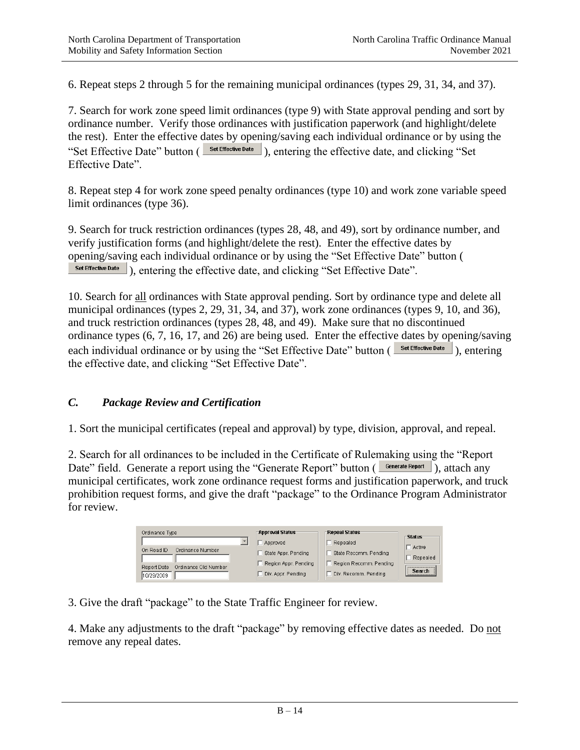6. Repeat steps 2 through 5 for the remaining municipal ordinances (types 29, 31, 34, and 37).

7. Search for work zone speed limit ordinances (type 9) with State approval pending and sort by ordinance number. Verify those ordinances with justification paperwork (and highlight/delete the rest). Enter the effective dates by opening/saving each individual ordinance or by using the "Set Effective Date" button (Set Effective Date), entering the effective date, and clicking "Set" Effective Date".

8. Repeat step 4 for work zone speed penalty ordinances (type 10) and work zone variable speed limit ordinances (type 36).

9. Search for truck restriction ordinances (types 28, 48, and 49), sort by ordinance number, and verify justification forms (and highlight/delete the rest). Enter the effective dates by opening/saving each individual ordinance or by using the "Set Effective Date" button ( Set Effective Date ). entering the effective date, and clicking "Set Effective Date".

10. Search for all ordinances with State approval pending. Sort by ordinance type and delete all municipal ordinances (types 2, 29, 31, 34, and 37), work zone ordinances (types 9, 10, and 36), and truck restriction ordinances (types 28, 48, and 49). Make sure that no discontinued ordinance types (6, 7, 16, 17, and 26) are being used. Enter the effective dates by opening/saving each individual ordinance or by using the "Set Effective Date" button (Set Effective Date), entering the effective date, and clicking "Set Effective Date".

## *C. Package Review and Certification*

1. Sort the municipal certificates (repeal and approval) by type, division, approval, and repeal.

2. Search for all ordinances to be included in the Certificate of Rulemaking using the "Report Date" field. Generate a report using the "Generate Report" button ( $\Box$ Generate Report), attach any municipal certificates, work zone ordinance request forms and justification paperwork, and truck prohibition request forms, and give the draft "package" to the Ordinance Program Administrator for review.

| Ordinance Type                      | <b>Approval Status</b> | <b>Repeal Status</b>   |                                |  |
|-------------------------------------|------------------------|------------------------|--------------------------------|--|
|                                     | Approved               | Repealed               | -Status<br>Active              |  |
| Ordinance Number<br>On Road ID      | State Appr. Pending    | State Recomm. Pending  | Repealed                       |  |
| Ordinance Old Number<br>Report Date | Region Appr. Pending   | Region Recomm, Pending | ------------------------------ |  |
| 10/29/2009                          | Div. Appr. Pending     | Div. Recomm. Pending   | <b>Search</b>                  |  |

3. Give the draft "package" to the State Traffic Engineer for review.

4. Make any adjustments to the draft "package" by removing effective dates as needed. Do not remove any repeal dates.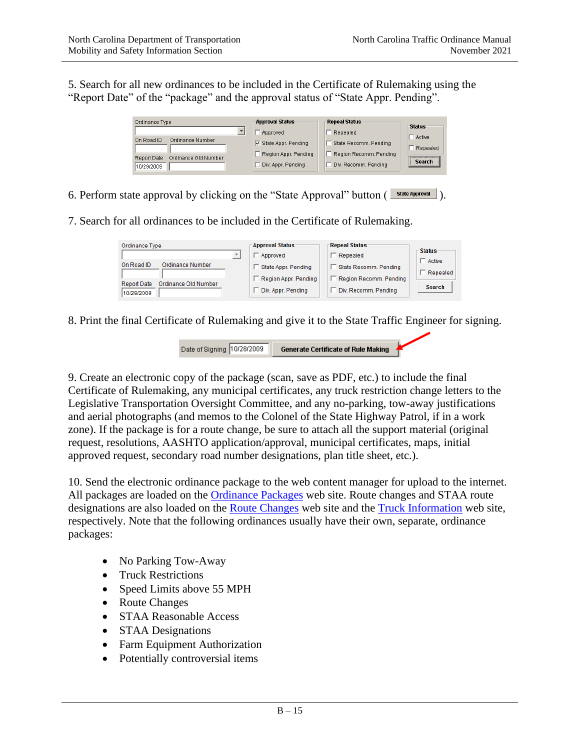5. Search for all new ordinances to be included in the Certificate of Rulemaking using the "Report Date" of the "package" and the approval status of "State Appr. Pending".

![](_page_14_Figure_3.jpeg)

6. Perform state approval by clicking on the "State Approval" button  $(\sqrt{\frac{\text{State Apiroval}}{\text{State Apiroval}}})$ .

7. Search for all ordinances to be included in the Certificate of Rulemaking.

| Ordinance Type                                    | <b>Approval Status</b><br>Approved          | <b>Repeal Status</b><br>Repealed                | $\mathsf{\Gamma}$ Status  |
|---------------------------------------------------|---------------------------------------------|-------------------------------------------------|---------------------------|
| Ordinance Number<br>On Road ID                    | State Appr. Pending<br>Region Appr. Pending | State Recomm, Pending<br>Region Recomm, Pending | $\Box$ Active<br>Repealed |
| Ordinance Old Number<br>Report Date<br>10/29/2009 | Div. Appr. Pending                          | Div. Recomm. Pending                            | <b>Search</b>             |

8. Print the final Certificate of Rulemaking and give it to the State Traffic Engineer for signing.

| Date of Signing 10/28/2009 | <b>Generate Certificate of Rule Making</b> |
|----------------------------|--------------------------------------------|
|----------------------------|--------------------------------------------|

9. Create an electronic copy of the package (scan, save as PDF, etc.) to include the final Certificate of Rulemaking, any municipal certificates, any truck restriction change letters to the Legislative Transportation Oversight Committee, and any no-parking, tow-away justifications and aerial photographs (and memos to the Colonel of the State Highway Patrol, if in a work zone). If the package is for a route change, be sure to attach all the support material (original request, resolutions, AASHTO application/approval, municipal certificates, maps, initial approved request, secondary road number designations, plan title sheet, etc.).

10. Send the electronic ordinance package to the web content manager for upload to the internet. All packages are loaded on the [Ordinance Packages](https://connect.ncdot.gov/resources/safety/Pages/Safety-Ordinances.aspx) web site. Route changes and STAA route designations are also loaded on the [Route Changes](https://connect.ncdot.gov/resources/safety/Pages/Route-Changes.aspx) web site and the [Truck Information](https://connect.ncdot.gov/business/trucking/Pages/Truck-Access-Designation.aspx) web site, respectively. Note that the following ordinances usually have their own, separate, ordinance packages:

- No Parking Tow-Away
- Truck Restrictions
- Speed Limits above 55 MPH
- Route Changes
- STAA Reasonable Access
- STAA Designations
- Farm Equipment Authorization
- Potentially controversial items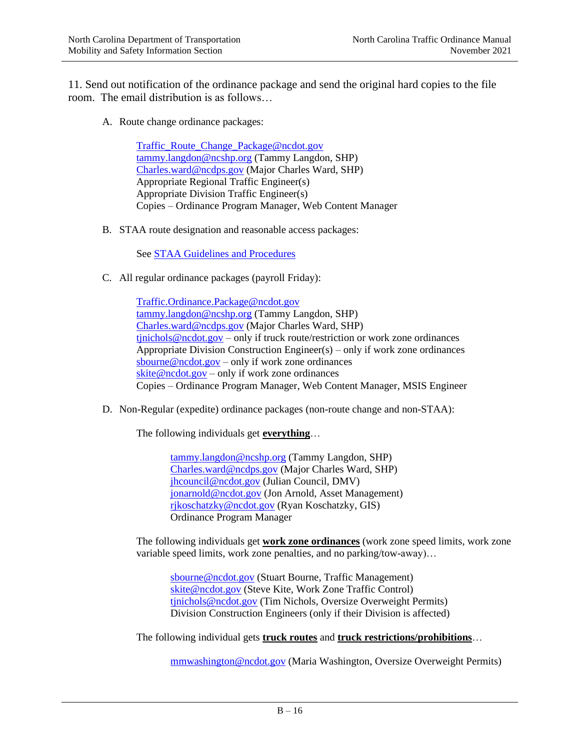11. Send out notification of the ordinance package and send the original hard copies to the file room. The email distribution is as follows…

A. Route change ordinance packages:

[Traffic\\_Route\\_Change\\_Package@ncdot.gov](mailto:Traffic_Route_Change_Package@ncdot.gov) [tammy.langdon@ncshp.org](mailto:tammy.langdon@ncshp.org) (Tammy Langdon, SHP) [Charles.ward@ncdps.gov](mailto:Charles.ward@ncdps.gov) (Major Charles Ward, SHP) Appropriate Regional Traffic Engineer(s) Appropriate Division Traffic Engineer(s) Copies – Ordinance Program Manager, Web Content Manager

B. STAA route designation and reasonable access packages:

See [STAA Guidelines and Procedures](https://connect.ncdot.gov/business/trucking/Pages/Truck-Access-Designation.aspx)

C. All regular ordinance packages (payroll Friday):

[Traffic.Ordinance.Package@ncdot.gov](mailto:Traffic.Ordinance.Package@ncdot.gov) [tammy.langdon@ncshp.org](mailto:tammy.langdon@ncshp.org) (Tammy Langdon, SHP) [Charles.ward@ncdps.gov](mailto:Charles.ward@ncdps.gov) (Major Charles Ward, SHP) [tjnichols@ncdot.gov](mailto:tjnichols@ncdot.gov) – only if truck route/restriction or work zone ordinances Appropriate Division Construction Engineer(s) – only if work zone ordinances [sbourne@ncdot.gov](mailto:sbourne@ncdot.gov) – only if work zone ordinances [skite@ncdot.gov](mailto:skite@ncdot.gov) – only if work zone ordinances Copies – Ordinance Program Manager, Web Content Manager, MSIS Engineer

D. Non-Regular (expedite) ordinance packages (non-route change and non-STAA):

The following individuals get **everything**…

[tammy.langdon@ncshp.org](mailto:tammy.langdon@ncshp.org) (Tammy Langdon, SHP) [Charles.ward@ncdps.gov](mailto:Charles.ward@ncdps.gov) (Major Charles Ward, SHP) [jhcouncil@ncdot.gov](mailto:jhcouncil@ncdot.gov) (Julian Council, DMV) [jonarnold@ncdot.gov](mailto:jonarnold@ncdot.gov) (Jon Arnold, Asset Management) [rjkoschatzky@ncdot.gov](mailto:rjkoschatzky@ncdot.gov) (Ryan Koschatzky, GIS) Ordinance Program Manager

The following individuals get **work zone ordinances** (work zone speed limits, work zone variable speed limits, work zone penalties, and no parking/tow-away)…

[sbourne@ncdot.gov](mailto:sbourne@ncdot.gov) (Stuart Bourne, Traffic Management) [skite@ncdot.gov](mailto:skite@ncdot.gov) (Steve Kite, Work Zone Traffic Control) [tjnichols@ncdot.gov](mailto:tjnichols@ncdot.gov) (Tim Nichols, Oversize Overweight Permits) Division Construction Engineers (only if their Division is affected)

The following individual gets **truck routes** and **truck restrictions/prohibitions**…

[mmwashington@ncdot.gov](mailto:mmwashington@ncdot.gov) (Maria Washington, Oversize Overweight Permits)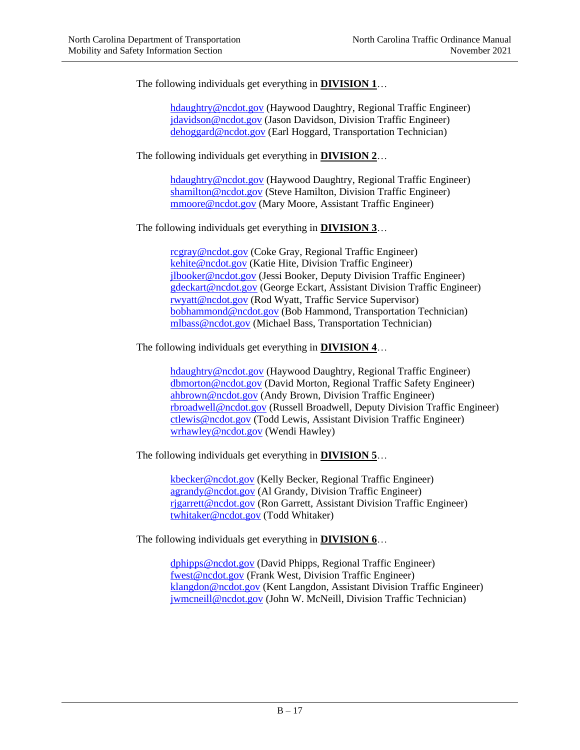The following individuals get everything in **DIVISION 1**…

[hdaughtry@ncdot.gov](mailto:hdaughtry@ncdot.gov) (Haywood Daughtry, Regional Traffic Engineer) [jdavidson@ncdot.gov](mailto:jdavidson@ncdot.gov) (Jason Davidson, Division Traffic Engineer) [dehoggard@ncdot.gov](mailto:dehoggard@ncdot.gov) (Earl Hoggard, Transportation Technician)

The following individuals get everything in **DIVISION 2**…

[hdaughtry@ncdot.gov](mailto:hdaughtry@ncdot.gov) (Haywood Daughtry, Regional Traffic Engineer) [shamilton@ncdot.gov](mailto:shamilton@ncdot.gov) (Steve Hamilton, Division Traffic Engineer) [mmoore@ncdot.gov](mailto:mmoore@ncdot.gov) (Mary Moore, Assistant Traffic Engineer)

The following individuals get everything in **DIVISION 3**…

[rcgray@ncdot.gov](mailto:rcgray@ncdot.gov) (Coke Gray, Regional Traffic Engineer) [kehite@ncdot.gov](mailto:kehite@ncdot.gov) (Katie Hite, Division Traffic Engineer) [jlbooker@ncdot.gov](mailto:jlbooker@ncdot.gov) (Jessi Booker, Deputy Division Traffic Engineer) [gdeckart@ncdot.gov](mailto:gdeckart@ncdot.gov) (George Eckart, Assistant Division Traffic Engineer) [rwyatt@ncdot.gov](mailto:rwyatt@ncdot.gov) (Rod Wyatt, Traffic Service Supervisor) [bobhammond@ncdot.gov](mailto:bobhammond@ncdot.gov) (Bob Hammond, Transportation Technician) [mlbass@ncdot.gov](mailto:mlbass@ncdot.gov) (Michael Bass, Transportation Technician)

The following individuals get everything in **DIVISION 4**…

[hdaughtry@ncdot.gov](mailto:hdaughtry@ncdot.gov) (Haywood Daughtry, Regional Traffic Engineer) [dbmorton@ncdot.gov](mailto:dbmorton@ncdot.gov) (David Morton, Regional Traffic Safety Engineer) [ahbrown@ncdot.gov](mailto:ahbrown@ncdot.gov) (Andy Brown, Division Traffic Engineer) [rbroadwell@ncdot.gov](mailto:rbroadwell@ncdot.gov) (Russell Broadwell, Deputy Division Traffic Engineer) [ctlewis@ncdot.gov](mailto:ctlewis@ncdot.gov) (Todd Lewis, Assistant Division Traffic Engineer) [wrhawley@ncdot.gov](mailto:wrhawley@ncdot.gov) (Wendi Hawley)

The following individuals get everything in **DIVISION 5**…

[kbecker@ncdot.gov](mailto:kbecker@ncdot.gov) (Kelly Becker, Regional Traffic Engineer) [agrandy@ncdot.gov](mailto:agrandy@ncdot.gov) (Al Grandy, Division Traffic Engineer) [rjgarrett@ncdot.gov](mailto:rjgarrett@ncdot.gov) (Ron Garrett, Assistant Division Traffic Engineer) [twhitaker@ncdot.gov](mailto:twhitaker@ncdot.gov) (Todd Whitaker)

The following individuals get everything in **DIVISION 6**…

[dphipps@ncdot.gov](mailto:dphipps@ncdot.gov) (David Phipps, Regional Traffic Engineer) [fwest@ncdot.gov](mailto:fwest@ncdot.gov) (Frank West, Division Traffic Engineer) [klangdon@ncdot.gov](mailto:klangdon@ncdot.gov) (Kent Langdon, Assistant Division Traffic Engineer) [jwmcneill@ncdot.gov](mailto:jwmcneill@ncdot.gov) (John W. McNeill, Division Traffic Technician)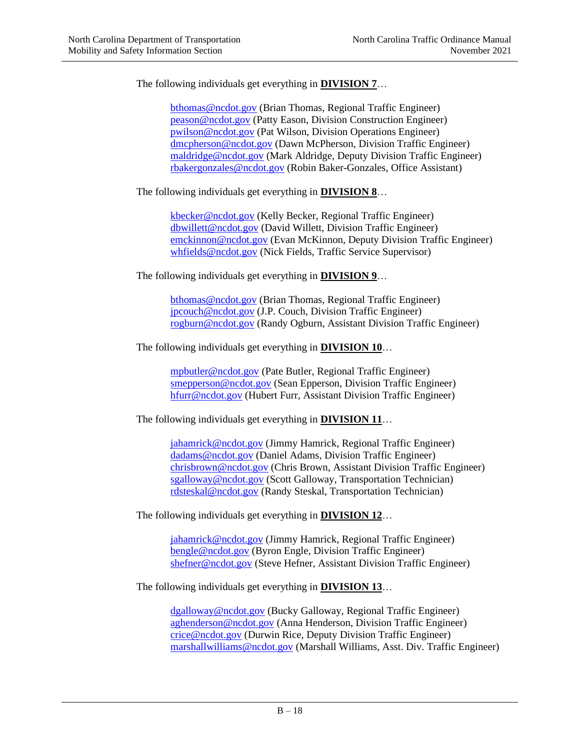The following individuals get everything in **DIVISION 7**…

[bthomas@ncdot.gov](mailto:bthomas@ncdot.gov) (Brian Thomas, Regional Traffic Engineer) [peason@ncdot.gov](mailto:peason@ncdot.gov) (Patty Eason, Division Construction Engineer) [pwilson@ncdot.gov](mailto:pwilson@ncdot.gov) (Pat Wilson, Division Operations Engineer) [dmcpherson@ncdot.gov](mailto:dmcpherson@ncdot.gov) (Dawn McPherson, Division Traffic Engineer) [maldridge@ncdot.gov](mailto:maldridge@ncdot.gov) (Mark Aldridge, Deputy Division Traffic Engineer) [rbakergonzales@ncdot.gov](mailto:rbakergonzales@ncdot.gov) (Robin Baker-Gonzales, Office Assistant)

The following individuals get everything in **DIVISION 8**…

[kbecker@ncdot.gov](mailto:kbecker@ncdot.gov) (Kelly Becker, Regional Traffic Engineer) [dbwillett@ncdot.gov](mailto:dbwillett@ncdot.gov) (David Willett, Division Traffic Engineer) [emckinnon@ncdot.gov](mailto:emckinnon@ncdot.gov) (Evan McKinnon, Deputy Division Traffic Engineer) [whfields@ncdot.gov](mailto:whfields@ncdot.gov) (Nick Fields, Traffic Service Supervisor)

The following individuals get everything in **DIVISION 9**…

[bthomas@ncdot.gov](mailto:bthomas@ncdot.gov) (Brian Thomas, Regional Traffic Engineer) [jpcouch@ncdot.gov](mailto:jpcouch@ncdot.gov) (J.P. Couch, Division Traffic Engineer) [rogburn@ncdot.gov](mailto:rogburn@ncdot.gov) (Randy Ogburn, Assistant Division Traffic Engineer)

The following individuals get everything in **DIVISION 10**…

[mpbutler@ncdot.gov](mailto:mpbutler@ncdot.gov) (Pate Butler, Regional Traffic Engineer) [smepperson@ncdot.gov](mailto:smepperson@ncdot.gov) (Sean Epperson, Division Traffic Engineer) [hfurr@ncdot.gov](mailto:hfurr@ncdot.gov) (Hubert Furr, Assistant Division Traffic Engineer)

The following individuals get everything in **DIVISION 11**…

[jahamrick@ncdot.gov](mailto:jahamrick@ncdot.gov) (Jimmy Hamrick, Regional Traffic Engineer) [dadams@ncdot.gov](mailto:dadams@ncdot.gov) (Daniel Adams, Division Traffic Engineer) [chrisbrown@ncdot.gov](mailto:chrisbrown@ncdot.gov) (Chris Brown, Assistant Division Traffic Engineer) [sgalloway@ncdot.gov](mailto:sgalloway@ncdot.gov) (Scott Galloway, Transportation Technician) [rdsteskal@ncdot.gov](mailto:rdsteskal@ncdot.gov) (Randy Steskal, Transportation Technician)

The following individuals get everything in **DIVISION 12**…

[jahamrick@ncdot.gov](mailto:jahamrick@ncdot.gov) (Jimmy Hamrick, Regional Traffic Engineer) [bengle@ncdot.gov](mailto:bengle@ncdot.gov) (Byron Engle, Division Traffic Engineer) [shefner@ncdot.gov](mailto:shefner@ncdot.gov) (Steve Hefner, Assistant Division Traffic Engineer)

The following individuals get everything in **DIVISION 13**…

[dgalloway@ncdot.gov](mailto:dgalloway@ncdot.gov) (Bucky Galloway, Regional Traffic Engineer) [aghenderson@ncdot.gov](mailto:aghenderson@ncdot.gov) (Anna Henderson, Division Traffic Engineer) [crice@ncdot.gov](mailto:crice@ncdot.gov) (Durwin Rice, Deputy Division Traffic Engineer) [marshallwilliams@ncdot.gov](mailto:marshallwilliams@ncdot.gov) (Marshall Williams, Asst. Div. Traffic Engineer)